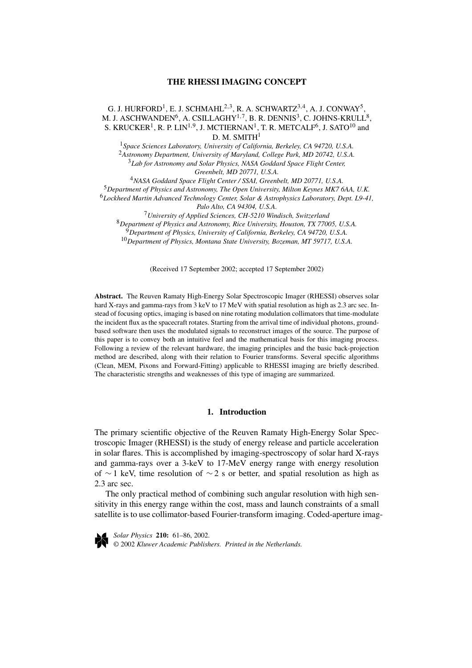# **THE RHESSI IMAGING CONCEPT**

G. J. HURFORD1, E. J. SCHMAHL2*,*3, R. A. SCHWARTZ3*,*4, A. J. CONWAY5, M. J. ASCHWANDEN<sup>6</sup>, A. CSILLAGHY<sup>1,7</sup>, B. R. DENNIS<sup>3</sup>, C. JOHNS-KRULL<sup>8</sup>, S. KRUCKER<sup>1</sup>, R. P. LIN<sup>1,9</sup>, J. MCTIERNAN<sup>1</sup>, T. R. METCALF<sup>6</sup>, J. SATO<sup>10</sup> and D. M. SMITH<sup>1</sup>

<sup>1</sup>*Space Sciences Laboratory, University of California, Berkeley, CA 94720, U.S.A.*

<sup>2</sup>*Astronomy Department, University of Maryland, College Park, MD 20742, U.S.A.*

<sup>3</sup>*Lab for Astronomy and Solar Physics, NASA Goddard Space Flight Center,*

*Greenbelt, MD 20771, U.S.A.*

<sup>4</sup>*NASA Goddard Space Flight Center / SSAI, Greenbelt, MD 20771, U.S.A.* <sup>5</sup>*Department of Physics and Astronomy, The Open University, Milton Keynes MK7 6AA, U.K.* <sup>6</sup>*Lockheed Martin Advanced Technology Center, Solar & Astrophysics Laboratory, Dept. L9-41,*

*Palo Alto, CA 94304, U.S.A.*

<sup>7</sup>*University of Applied Sciences, CH-5210 Windisch, Switzerland*

<sup>8</sup>*Department of Physics and Astronomy, Rice University, Houston, TX 77005, U.S.A.*

<sup>9</sup>*Department of Physics, University of California, Berkeley, CA 94720, U.S.A.*

<sup>10</sup>*Department of Physics, Montana State University, Bozeman, MT 59717, U.S.A.*

(Received 17 September 2002; accepted 17 September 2002)

**Abstract.** The Reuven Ramaty High-Energy Solar Spectroscopic Imager (RHESSI) observes solar hard X-rays and gamma-rays from 3 keV to 17 MeV with spatial resolution as high as 2.3 arc sec. Instead of focusing optics, imaging is based on nine rotating modulation collimators that time-modulate the incident flux as the spacecraft rotates. Starting from the arrival time of individual photons, groundbased software then uses the modulated signals to reconstruct images of the source. The purpose of this paper is to convey both an intuitive feel and the mathematical basis for this imaging process. Following a review of the relevant hardware, the imaging principles and the basic back-projection method are described, along with their relation to Fourier transforms. Several specific algorithms (Clean, MEM, Pixons and Forward-Fitting) applicable to RHESSI imaging are briefly described. The characteristic strengths and weaknesses of this type of imaging are summarized.

# **1. Introduction**

The primary scientific objective of the Reuven Ramaty High-Energy Solar Spectroscopic Imager (RHESSI) is the study of energy release and particle acceleration in solar flares. This is accomplished by imaging-spectroscopy of solar hard X-rays and gamma-rays over a 3-keV to 17-MeV energy range with energy resolution of ∼ 1 keV, time resolution of ∼ 2 s or better, and spatial resolution as high as 2.3 arc sec.

The only practical method of combining such angular resolution with high sensitivity in this energy range within the cost, mass and launch constraints of a small satellite is to use collimator-based Fourier-transform imaging. Coded-aperture imag-

*Solar Physics* **210:** 61–86, 2002. © 2002 *Kluwer Academic Publishers. Printed in the Netherlands.*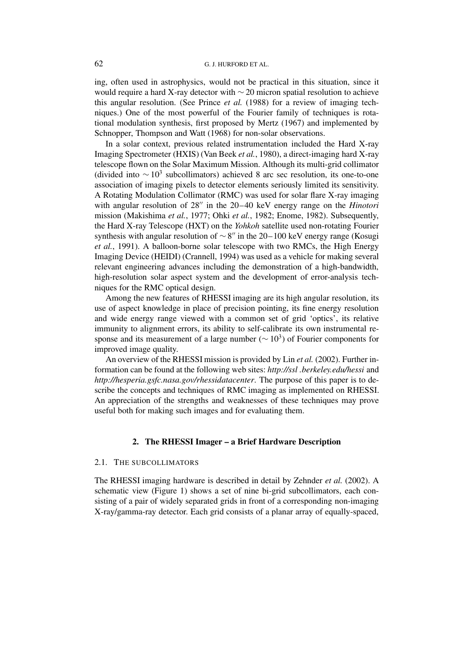ing, often used in astrophysics, would not be practical in this situation, since it would require a hard X-ray detector with  $\sim$  20 micron spatial resolution to achieve this angular resolution. (See Prince *et al.* (1988) for a review of imaging techniques.) One of the most powerful of the Fourier family of techniques is rotational modulation synthesis, first proposed by Mertz (1967) and implemented by Schnopper, Thompson and Watt (1968) for non-solar observations.

In a solar context, previous related instrumentation included the Hard X-ray Imaging Spectrometer (HXIS) (Van Beek *et al.*, 1980), a direct-imaging hard X-ray telescope flown on the Solar Maximum Mission. Although its multi-grid collimator (divided into  $\sim$  10<sup>3</sup> subcollimators) achieved 8 arc sec resolution, its one-to-one association of imaging pixels to detector elements seriously limited its sensitivity. A Rotating Modulation Collimator (RMC) was used for solar flare X-ray imaging with angular resolution of 28" in the 20-40 keV energy range on the *Hinotori* mission (Makishima *et al.*, 1977; Ohki *et al.*, 1982; Enome, 1982). Subsequently, the Hard X-ray Telescope (HXT) on the *Yohkoh* satellite used non-rotating Fourier synthesis with angular resolution of  $\sim 8''$  in the 20–100 keV energy range (Kosugi *et al.*, 1991). A balloon-borne solar telescope with two RMCs, the High Energy Imaging Device (HEIDI) (Crannell, 1994) was used as a vehicle for making several relevant engineering advances including the demonstration of a high-bandwidth, high-resolution solar aspect system and the development of error-analysis techniques for the RMC optical design.

Among the new features of RHESSI imaging are its high angular resolution, its use of aspect knowledge in place of precision pointing, its fine energy resolution and wide energy range viewed with a common set of grid 'optics', its relative immunity to alignment errors, its ability to self-calibrate its own instrumental response and its measurement of a large number ( $\sim 10^3$ ) of Fourier components for improved image quality.

An overview of the RHESSI mission is provided by Lin *et al.* (2002). Further information can be found at the following web sites: *http://ssl .berkeley.edu/hessi* and *http://hesperia.gsfc.nasa.gov/rhessidatacenter*. The purpose of this paper is to describe the concepts and techniques of RMC imaging as implemented on RHESSI. An appreciation of the strengths and weaknesses of these techniques may prove useful both for making such images and for evaluating them.

## **2. The RHESSI Imager – a Brief Hardware Description**

### 2.1. THE SUBCOLLIMATORS

The RHESSI imaging hardware is described in detail by Zehnder *et al.* (2002). A schematic view (Figure 1) shows a set of nine bi-grid subcollimators, each consisting of a pair of widely separated grids in front of a corresponding non-imaging X-ray/gamma-ray detector. Each grid consists of a planar array of equally-spaced,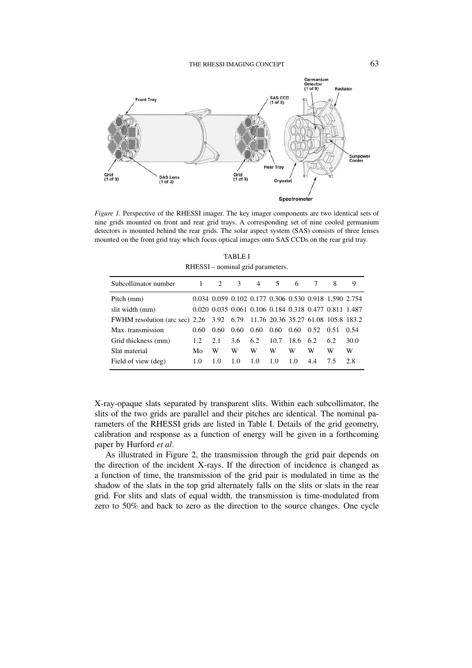

*Figure 1.* Perspective of the RHESSI imager. The key imager components are two identical sets of nine grids mounted on front and rear grid trays. A corresponding set of nine cooled germanium detectors is mounted behind the rear grids. The solar aspect system (SAS) consists of three lenses mounted on the front grid tray which focus optical images onto SAS CCDs on the rear grid tray.

TABLE I RHESSI – nominal grid parameters.

| Subcollimator number                       | $\mathbf{1}$ | $\mathcal{D}_{\mathcal{L}}$ | 3    | 4                                                     | 5    | 6    | 7    | 8    | 9    |
|--------------------------------------------|--------------|-----------------------------|------|-------------------------------------------------------|------|------|------|------|------|
| Pitch (mm)                                 |              |                             |      | 0.034 0.059 0.102 0.177 0.306 0.530 0.918 1.590 2.754 |      |      |      |      |      |
| slit width (mm)                            |              |                             |      | 0.020 0.035 0.061 0.106 0.184 0.318 0.477 0.811 1.487 |      |      |      |      |      |
| FWHM resolution (arc sec) $2.26$ 3.92 6.79 |              |                             |      | 11.76 20.36 35.27 61.08 105.8 183.2                   |      |      |      |      |      |
| Max. transmission                          | 0.60         | 0.60                        | 0.60 | 0.60                                                  | 0.60 | 0.60 | 0.52 | 0.51 | 0.54 |
| Grid thickness (mm)                        | 12           | 2.1                         | 3.6  | 6.2                                                   | 10.7 | 18.6 | 6.2  | 6.2  | 30.0 |
| Slat material                              | Mo           | W                           | w    | W                                                     | W    | W    | W    | W    | W    |
| Field of view (deg)                        | 1.0          | 1.0                         | 1.0  | 1.0                                                   | 1.0  | 1.0  | 4.4  | 75   | 2.8  |

X-ray-opaque slats separated by transparent slits. Within each subcollimator, the slits of the two grids are parallel and their pitches are identical. The nominal parameters of the RHESSI grids are listed in Table I. Details of the grid geometry, calibration and response as a function of energy will be given in a forthcoming paper by Hurford *et al*.

As illustrated in Figure 2, the transmission through the grid pair depends on the direction of the incident X-rays. If the direction of incidence is changed as a function of time, the transmission of the grid pair is modulated in time as the shadow of the slats in the top grid alternately falls on the slits or slats in the rear grid. For slits and slats of equal width, the transmission is time-modulated from zero to 50% and back to zero as the direction to the source changes. One cycle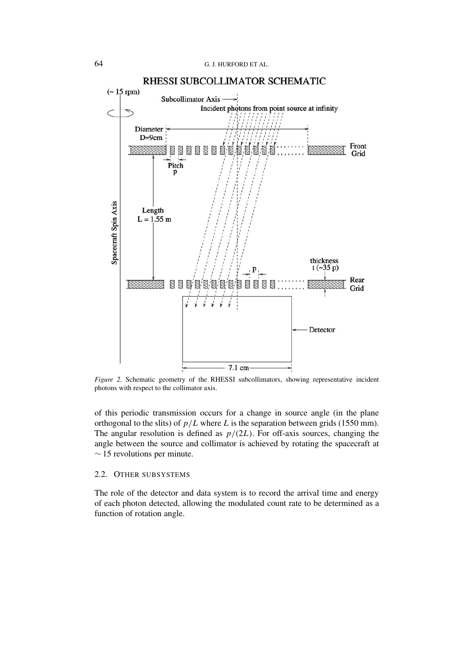

*Figure 2.* Schematic geometry of the RHESSI subcollimators, showing representative incident photons with respect to the collimator axis.

of this periodic transmission occurs for a change in source angle (in the plane orthogonal to the slits) of  $p/L$  where *L* is the separation between grids (1550 mm). The angular resolution is defined as  $p/(2L)$ . For off-axis sources, changing the angle between the source and collimator is achieved by rotating the spacecraft at  $\sim$  15 revolutions per minute.

# 2.2. OTHER SUBSYSTEMS

The role of the detector and data system is to record the arrival time and energy of each photon detected, allowing the modulated count rate to be determined as a function of rotation angle.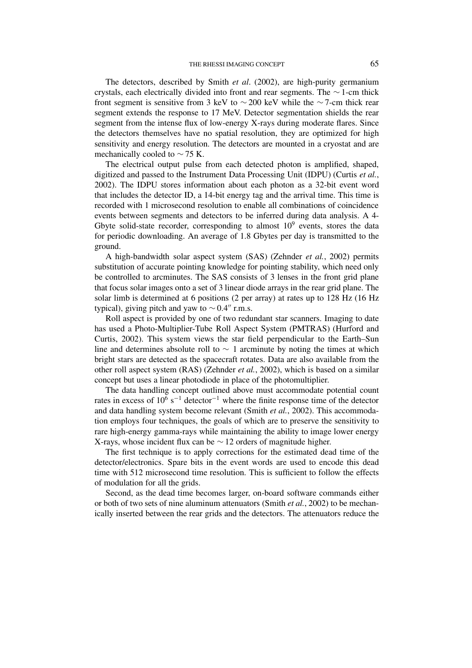The detectors, described by Smith *et al*. (2002), are high-purity germanium crystals, each electrically divided into front and rear segments. The  $\sim$  1-cm thick front segment is sensitive from 3 keV to  $\sim$  200 keV while the  $\sim$  7-cm thick rear segment extends the response to 17 MeV. Detector segmentation shields the rear segment from the intense flux of low-energy X-rays during moderate flares. Since the detectors themselves have no spatial resolution, they are optimized for high sensitivity and energy resolution. The detectors are mounted in a cryostat and are mechanically cooled to  $\sim$  75 K.

The electrical output pulse from each detected photon is amplified, shaped, digitized and passed to the Instrument Data Processing Unit (IDPU) (Curtis *et al.*, 2002). The IDPU stores information about each photon as a 32-bit event word that includes the detector ID, a 14-bit energy tag and the arrival time. This time is recorded with 1 microsecond resolution to enable all combinations of coincidence events between segments and detectors to be inferred during data analysis. A 4- Gbyte solid-state recorder, corresponding to almost  $10<sup>9</sup>$  events, stores the data for periodic downloading. An average of 1.8 Gbytes per day is transmitted to the ground.

A high-bandwidth solar aspect system (SAS) (Zehnder *et al.*, 2002) permits substitution of accurate pointing knowledge for pointing stability, which need only be controlled to arcminutes. The SAS consists of 3 lenses in the front grid plane that focus solar images onto a set of 3 linear diode arrays in the rear grid plane. The solar limb is determined at 6 positions (2 per array) at rates up to 128 Hz (16 Hz typical), giving pitch and yaw to  $\sim 0.4$ " r.m.s.

Roll aspect is provided by one of two redundant star scanners. Imaging to date has used a Photo-Multiplier-Tube Roll Aspect System (PMTRAS) (Hurford and Curtis, 2002). This system views the star field perpendicular to the Earth–Sun line and determines absolute roll to  $\sim$  1 arcminute by noting the times at which bright stars are detected as the spacecraft rotates. Data are also available from the other roll aspect system (RAS) (Zehnder *et al.*, 2002), which is based on a similar concept but uses a linear photodiode in place of the photomultiplier.

The data handling concept outlined above must accommodate potential count rates in excess of  $10^6$  s<sup>-1</sup> detector<sup>-1</sup> where the finite response time of the detector and data handling system become relevant (Smith *et al.*, 2002). This accommodation employs four techniques, the goals of which are to preserve the sensitivity to rare high-energy gamma-rays while maintaining the ability to image lower energy X-rays, whose incident flux can be  $\sim$  12 orders of magnitude higher.

The first technique is to apply corrections for the estimated dead time of the detector/electronics. Spare bits in the event words are used to encode this dead time with 512 microsecond time resolution. This is sufficient to follow the effects of modulation for all the grids.

Second, as the dead time becomes larger, on-board software commands either or both of two sets of nine aluminum attenuators (Smith *et al.*, 2002) to be mechanically inserted between the rear grids and the detectors. The attenuators reduce the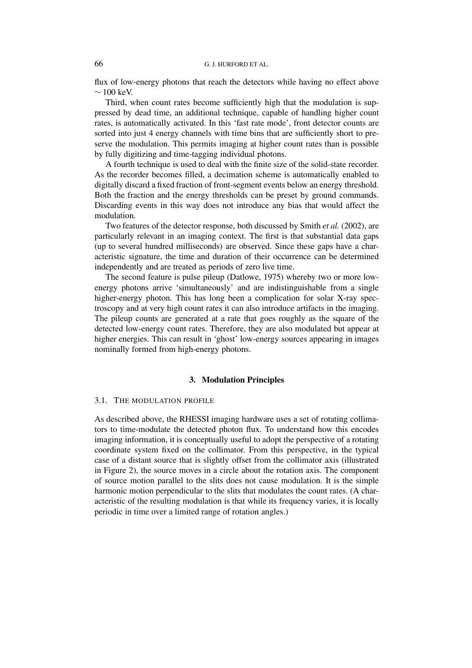## 66 G. J. HURFORD ET AL.

flux of low-energy photons that reach the detectors while having no effect above  $\sim$  100 keV.

Third, when count rates become sufficiently high that the modulation is suppressed by dead time, an additional technique, capable of handling higher count rates, is automatically activated. In this 'fast rate mode', front detector counts are sorted into just 4 energy channels with time bins that are sufficiently short to preserve the modulation. This permits imaging at higher count rates than is possible by fully digitizing and time-tagging individual photons.

A fourth technique is used to deal with the finite size of the solid-state recorder. As the recorder becomes filled, a decimation scheme is automatically enabled to digitally discard a fixed fraction of front-segment events below an energy threshold. Both the fraction and the energy thresholds can be preset by ground commands. Discarding events in this way does not introduce any bias that would affect the modulation.

Two features of the detector response, both discussed by Smith *et al.* (2002), are particularly relevant in an imaging context. The first is that substantial data gaps (up to several hundred milliseconds) are observed. Since these gaps have a characteristic signature, the time and duration of their occurrence can be determined independently and are treated as periods of zero live time.

The second feature is pulse pileup (Datlowe, 1975) whereby two or more lowenergy photons arrive 'simultaneously' and are indistinguishable from a single higher-energy photon. This has long been a complication for solar X-ray spectroscopy and at very high count rates it can also introduce artifacts in the imaging. The pileup counts are generated at a rate that goes roughly as the square of the detected low-energy count rates. Therefore, they are also modulated but appear at higher energies. This can result in 'ghost' low-energy sources appearing in images nominally formed from high-energy photons.

# **3. Modulation Principles**

#### 3.1. THE MODULATION PROFILE

As described above, the RHESSI imaging hardware uses a set of rotating collimators to time-modulate the detected photon flux. To understand how this encodes imaging information, it is conceptually useful to adopt the perspective of a rotating coordinate system fixed on the collimator. From this perspective, in the typical case of a distant source that is slightly offset from the collimator axis (illustrated in Figure 2), the source moves in a circle about the rotation axis. The component of source motion parallel to the slits does not cause modulation. It is the simple harmonic motion perpendicular to the slits that modulates the count rates. (A characteristic of the resulting modulation is that while its frequency varies, it is locally periodic in time over a limited range of rotation angles.)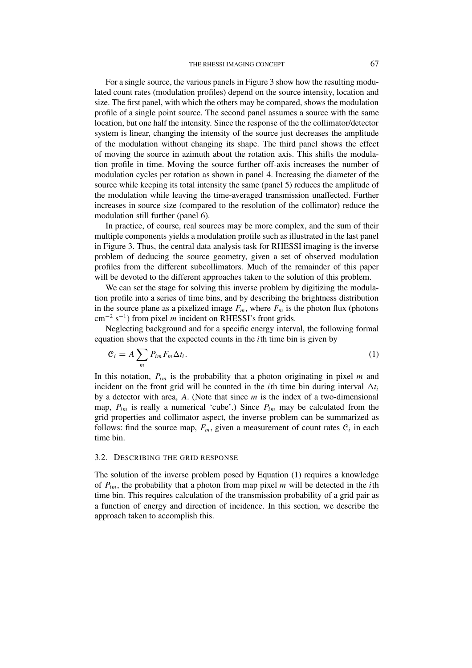For a single source, the various panels in Figure 3 show how the resulting modulated count rates (modulation profiles) depend on the source intensity, location and size. The first panel, with which the others may be compared, shows the modulation profile of a single point source. The second panel assumes a source with the same location, but one half the intensity. Since the response of the the collimator/detector system is linear, changing the intensity of the source just decreases the amplitude of the modulation without changing its shape. The third panel shows the effect of moving the source in azimuth about the rotation axis. This shifts the modulation profile in time. Moving the source further off-axis increases the number of modulation cycles per rotation as shown in panel 4. Increasing the diameter of the source while keeping its total intensity the same (panel 5) reduces the amplitude of the modulation while leaving the time-averaged transmission unaffected. Further increases in source size (compared to the resolution of the collimator) reduce the modulation still further (panel 6).

In practice, of course, real sources may be more complex, and the sum of their multiple components yields a modulation profile such as illustrated in the last panel in Figure 3. Thus, the central data analysis task for RHESSI imaging is the inverse problem of deducing the source geometry, given a set of observed modulation profiles from the different subcollimators. Much of the remainder of this paper will be devoted to the different approaches taken to the solution of this problem.

We can set the stage for solving this inverse problem by digitizing the modulation profile into a series of time bins, and by describing the brightness distribution in the source plane as a pixelized image  $F_m$ , where  $F_m$  is the photon flux (photons cm<sup>−</sup><sup>2</sup> s<sup>−</sup>1) from pixel *m* incident on RHESSI's front grids.

Neglecting background and for a specific energy interval, the following formal equation shows that the expected counts in the *i*th time bin is given by

$$
\mathcal{C}_i = A \sum_m P_{im} F_m \Delta t_i. \tag{1}
$$

In this notation, *Pim* is the probability that a photon originating in pixel *m* and incident on the front grid will be counted in the *i*th time bin during interval  $\Delta t_i$ by a detector with area, *A*. (Note that since *m* is the index of a two-dimensional map, *Pim* is really a numerical 'cube'.) Since *Pim* may be calculated from the grid properties and collimator aspect, the inverse problem can be summarized as follows: find the source map,  $F_m$ , given a measurement of count rates  $C_i$  in each time bin.

## 3.2. DESCRIBING THE GRID RESPONSE

The solution of the inverse problem posed by Equation (1) requires a knowledge of *Pim*, the probability that a photon from map pixel *m* will be detected in the *i*th time bin. This requires calculation of the transmission probability of a grid pair as a function of energy and direction of incidence. In this section, we describe the approach taken to accomplish this.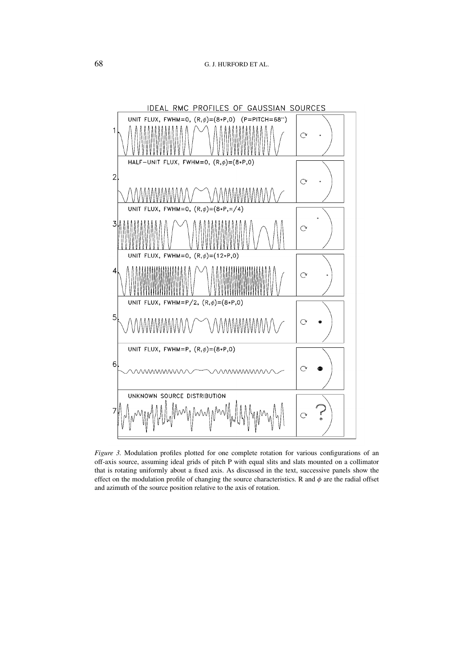

*Figure 3.* Modulation profiles plotted for one complete rotation for various configurations of an off-axis source, assuming ideal grids of pitch P with equal slits and slats mounted on a collimator that is rotating uniformly about a fixed axis. As discussed in the text, successive panels show the effect on the modulation profile of changing the source characteristics. R and *φ* are the radial offset and azimuth of the source position relative to the axis of rotation.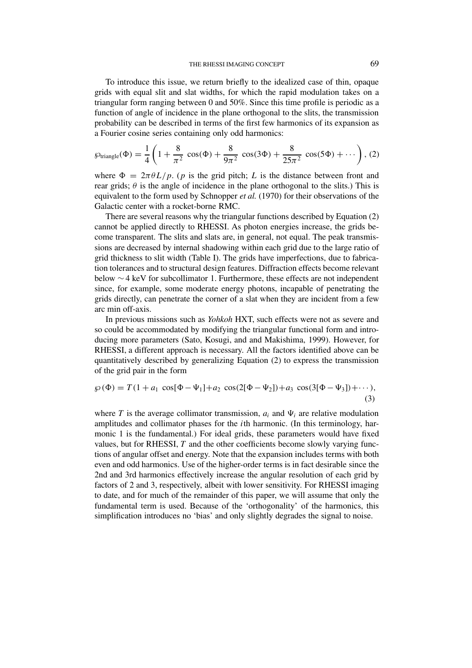To introduce this issue, we return briefly to the idealized case of thin, opaque grids with equal slit and slat widths, for which the rapid modulation takes on a triangular form ranging between 0 and 50%. Since this time profile is periodic as a function of angle of incidence in the plane orthogonal to the slits, the transmission probability can be described in terms of the first few harmonics of its expansion as a Fourier cosine series containing only odd harmonics:

$$
\wp_{\text{triangle}}(\Phi) = \frac{1}{4} \left( 1 + \frac{8}{\pi^2} \cos(\Phi) + \frac{8}{9\pi^2} \cos(3\Phi) + \frac{8}{25\pi^2} \cos(5\Phi) + \cdots \right), (2)
$$

where  $\Phi = 2\pi \theta L/p$ . (*p* is the grid pitch; *L* is the distance between front and rear grids;  $\theta$  is the angle of incidence in the plane orthogonal to the slits.) This is equivalent to the form used by Schnopper *et al.* (1970) for their observations of the Galactic center with a rocket-borne RMC.

There are several reasons why the triangular functions described by Equation (2) cannot be applied directly to RHESSI. As photon energies increase, the grids become transparent. The slits and slats are, in general, not equal. The peak transmissions are decreased by internal shadowing within each grid due to the large ratio of grid thickness to slit width (Table I). The grids have imperfections, due to fabrication tolerances and to structural design features. Diffraction effects become relevant below ∼ 4 keV for subcollimator 1. Furthermore, these effects are not independent since, for example, some moderate energy photons, incapable of penetrating the grids directly, can penetrate the corner of a slat when they are incident from a few arc min off-axis.

In previous missions such as *Yohkoh* HXT, such effects were not as severe and so could be accommodated by modifying the triangular functional form and introducing more parameters (Sato, Kosugi, and and Makishima, 1999). However, for RHESSI, a different approach is necessary. All the factors identified above can be quantitatively described by generalizing Equation (2) to express the transmission of the grid pair in the form

$$
\wp(\Phi) = T(1 + a_1 \cos[\Phi - \Psi_1] + a_2 \cos(2[\Phi - \Psi_2]) + a_3 \cos(3[\Phi - \Psi_3]) + \cdots),
$$
\n(3)

where *T* is the average collimator transmission,  $a_i$  and  $\Psi_i$  are relative modulation amplitudes and collimator phases for the *i*th harmonic. (In this terminology, harmonic 1 is the fundamental.) For ideal grids, these parameters would have fixed values, but for RHESSI, *T* and the other coefficients become slowly varying functions of angular offset and energy. Note that the expansion includes terms with both even and odd harmonics. Use of the higher-order terms is in fact desirable since the 2nd and 3rd harmonics effectively increase the angular resolution of each grid by factors of 2 and 3, respectively, albeit with lower sensitivity. For RHESSI imaging to date, and for much of the remainder of this paper, we will assume that only the fundamental term is used. Because of the 'orthogonality' of the harmonics, this simplification introduces no 'bias' and only slightly degrades the signal to noise.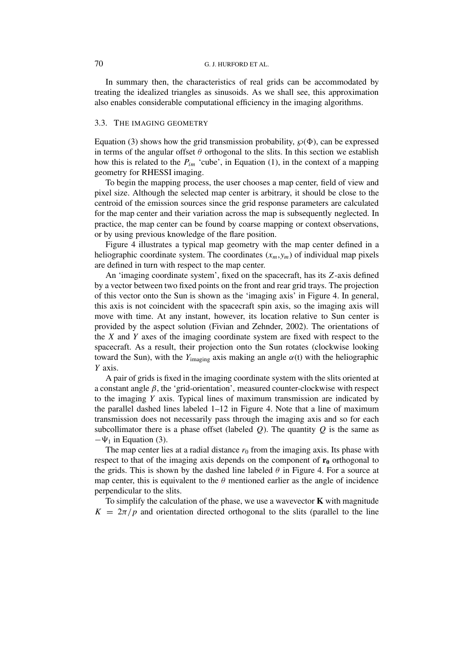### 70 G. J. HURFORD ET AL.

In summary then, the characteristics of real grids can be accommodated by treating the idealized triangles as sinusoids. As we shall see, this approximation also enables considerable computational efficiency in the imaging algorithms.

### 3.3. THE IMAGING GEOMETRY

Equation (3) shows how the grid transmission probability,  $\wp(\Phi)$ , can be expressed in terms of the angular offset  $\theta$  orthogonal to the slits. In this section we establish how this is related to the *Pim* 'cube', in Equation (1), in the context of a mapping geometry for RHESSI imaging.

To begin the mapping process, the user chooses a map center, field of view and pixel size. Although the selected map center is arbitrary, it should be close to the centroid of the emission sources since the grid response parameters are calculated for the map center and their variation across the map is subsequently neglected. In practice, the map center can be found by coarse mapping or context observations, or by using previous knowledge of the flare position.

Figure 4 illustrates a typical map geometry with the map center defined in a heliographic coordinate system. The coordinates  $(x_m, y_m)$  of individual map pixels are defined in turn with respect to the map center.

An 'imaging coordinate system', fixed on the spacecraft, has its *Z*-axis defined by a vector between two fixed points on the front and rear grid trays. The projection of this vector onto the Sun is shown as the 'imaging axis' in Figure 4. In general, this axis is not coincident with the spacecraft spin axis, so the imaging axis will move with time. At any instant, however, its location relative to Sun center is provided by the aspect solution (Fivian and Zehnder, 2002). The orientations of the *X* and *Y* axes of the imaging coordinate system are fixed with respect to the spacecraft. As a result, their projection onto the Sun rotates (clockwise looking toward the Sun), with the  $Y_{\text{imaging}}$  axis making an angle  $α(t)$  with the heliographic *Y* axis.

A pair of grids is fixed in the imaging coordinate system with the slits oriented at a constant angle  $\beta$ , the 'grid-orientation', measured counter-clockwise with respect to the imaging *Y* axis. Typical lines of maximum transmission are indicated by the parallel dashed lines labeled 1–12 in Figure 4. Note that a line of maximum transmission does not necessarily pass through the imaging axis and so for each subcollimator there is a phase offset (labeled  $Q$ ). The quantity  $Q$  is the same as  $-\Psi_1$  in Equation (3).

The map center lies at a radial distance  $r_0$  from the imaging axis. Its phase with respect to that of the imaging axis depends on the component of  $r_0$  orthogonal to the grids. This is shown by the dashed line labeled  $\theta$  in Figure 4. For a source at map center, this is equivalent to the  $\theta$  mentioned earlier as the angle of incidence perpendicular to the slits.

To simplify the calculation of the phase, we use a wavevector **K** with magnitude  $K = 2\pi/p$  and orientation directed orthogonal to the slits (parallel to the line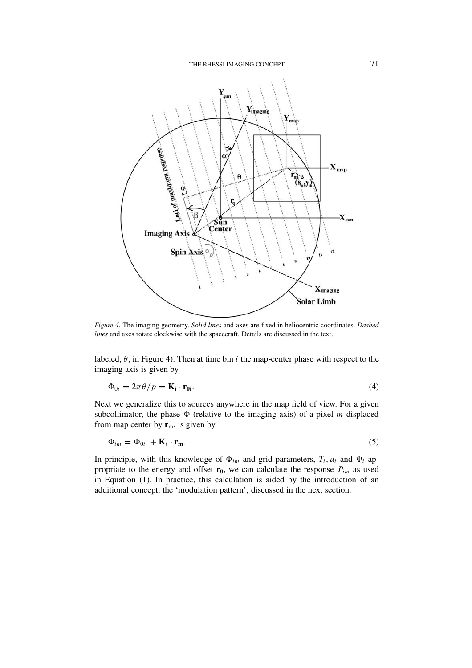

*Figure 4.* The imaging geometry. *Solid lines* and axes are fixed in heliocentric coordinates. *Dashed lines* and axes rotate clockwise with the spacecraft. Details are discussed in the text.

labeled, *θ*, in Figure 4). Then at time bin *i* the map-center phase with respect to the imaging axis is given by

$$
\Phi_{0i} = 2\pi \theta / p = \mathbf{K_i} \cdot \mathbf{r_{0i}}.\tag{4}
$$

Next we generalize this to sources anywhere in the map field of view. For a given subcollimator, the phase  $\Phi$  (relative to the imaging axis) of a pixel *m* displaced from map center by  $\mathbf{r}_m$ , is given by

$$
\Phi_{im} = \Phi_{0i} + \mathbf{K}_i \cdot \mathbf{r_m}.\tag{5}
$$

In principle, with this knowledge of  $\Phi_{im}$  and grid parameters,  $T_i$ ,  $a_i$  and  $\Psi_i$  appropriate to the energy and offset  $\mathbf{r}_0$ , we can calculate the response  $P_{im}$  as used in Equation (1). In practice, this calculation is aided by the introduction of an additional concept, the 'modulation pattern', discussed in the next section.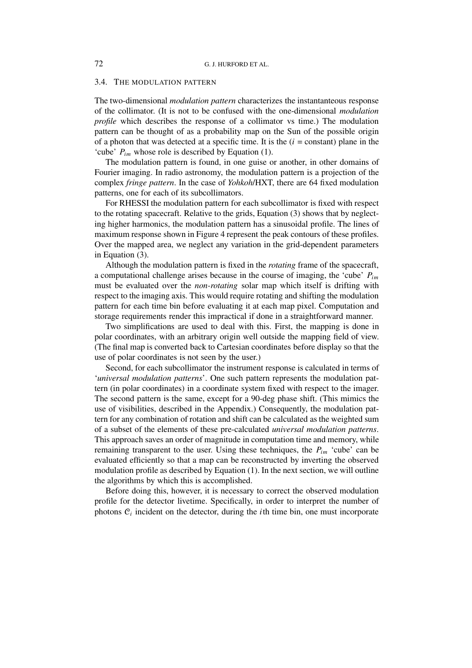# 3.4. THE MODULATION PATTERN

The two-dimensional *modulation pattern* characterizes the instantanteous response of the collimator. (It is not to be confused with the one-dimensional *modulation profile* which describes the response of a collimator vs time.) The modulation pattern can be thought of as a probability map on the Sun of the possible origin of a photon that was detected at a specific time. It is the  $(i = constant)$  plane in the 'cube'  $P_{im}$  whose role is described by Equation (1).

The modulation pattern is found, in one guise or another, in other domains of Fourier imaging. In radio astronomy, the modulation pattern is a projection of the complex *fringe pattern*. In the case of *Yohkoh*/HXT, there are 64 fixed modulation patterns, one for each of its subcollimators.

For RHESSI the modulation pattern for each subcollimator is fixed with respect to the rotating spacecraft. Relative to the grids, Equation (3) shows that by neglecting higher harmonics, the modulation pattern has a sinusoidal profile. The lines of maximum response shown in Figure 4 represent the peak contours of these profiles. Over the mapped area, we neglect any variation in the grid-dependent parameters in Equation (3).

Although the modulation pattern is fixed in the *rotating* frame of the spacecraft, a computational challenge arises because in the course of imaging, the 'cube' *Pim* must be evaluated over the *non-rotating* solar map which itself is drifting with respect to the imaging axis. This would require rotating and shifting the modulation pattern for each time bin before evaluating it at each map pixel. Computation and storage requirements render this impractical if done in a straightforward manner.

Two simplifications are used to deal with this. First, the mapping is done in polar coordinates, with an arbitrary origin well outside the mapping field of view. (The final map is converted back to Cartesian coordinates before display so that the use of polar coordinates is not seen by the user.)

Second, for each subcollimator the instrument response is calculated in terms of '*universal modulation patterns*'. One such pattern represents the modulation pattern (in polar coordinates) in a coordinate system fixed with respect to the imager. The second pattern is the same, except for a 90-deg phase shift. (This mimics the use of visibilities, described in the Appendix.) Consequently, the modulation pattern for any combination of rotation and shift can be calculated as the weighted sum of a subset of the elements of these pre-calculated *universal modulation patterns*. This approach saves an order of magnitude in computation time and memory, while remaining transparent to the user. Using these techniques, the  $P_{im}$  'cube' can be evaluated efficiently so that a map can be reconstructed by inverting the observed modulation profile as described by Equation (1). In the next section, we will outline the algorithms by which this is accomplished.

Before doing this, however, it is necessary to correct the observed modulation profile for the detector livetime. Specifically, in order to interpret the number of photons  $C_i$  incident on the detector, during the *i*th time bin, one must incorporate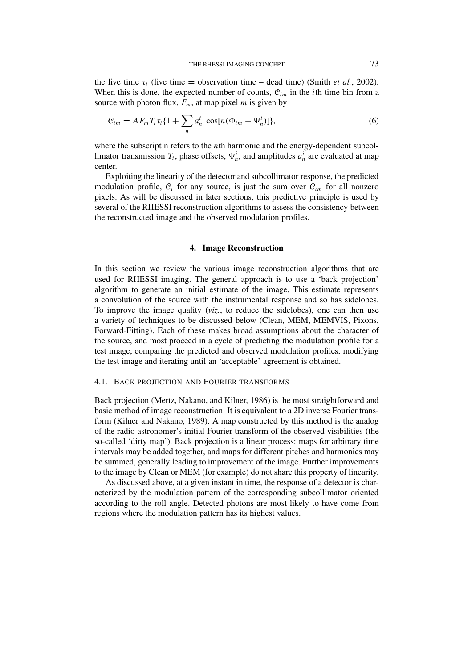the live time  $\tau_i$  (live time = observation time – dead time) (Smith *et al.*, 2002). When this is done, the expected number of counts,  $C_{im}$  in the *i*th time bin from a source with photon flux,  $F_m$ , at map pixel *m* is given by

$$
C_{im} = AF_m T_i \tau_i \{1 + \sum_n a_n^i \cos[n(\Phi_{im} - \Psi_n^i)]\},\tag{6}
$$

where the subscript n refers to the *n*th harmonic and the energy-dependent subcollimator transmission  $T_i$ , phase offsets,  $\Psi_n^i$ , and amplitudes  $a_n^i$  are evaluated at map center.

Exploiting the linearity of the detector and subcollimator response, the predicted modulation profile,  $C_i$  for any source, is just the sum over  $C_{im}$  for all nonzero pixels. As will be discussed in later sections, this predictive principle is used by several of the RHESSI reconstruction algorithms to assess the consistency between the reconstructed image and the observed modulation profiles.

## **4. Image Reconstruction**

In this section we review the various image reconstruction algorithms that are used for RHESSI imaging. The general approach is to use a 'back projection' algorithm to generate an initial estimate of the image. This estimate represents a convolution of the source with the instrumental response and so has sidelobes. To improve the image quality (*viz.*, to reduce the sidelobes), one can then use a variety of techniques to be discussed below (Clean, MEM, MEMVIS, Pixons, Forward-Fitting). Each of these makes broad assumptions about the character of the source, and most proceed in a cycle of predicting the modulation profile for a test image, comparing the predicted and observed modulation profiles, modifying the test image and iterating until an 'acceptable' agreement is obtained.

## 4.1. BACK PROJECTION AND FOURIER TRANSFORMS

Back projection (Mertz, Nakano, and Kilner, 1986) is the most straightforward and basic method of image reconstruction. It is equivalent to a 2D inverse Fourier transform (Kilner and Nakano, 1989). A map constructed by this method is the analog of the radio astronomer's initial Fourier transform of the observed visibilities (the so-called 'dirty map'). Back projection is a linear process: maps for arbitrary time intervals may be added together, and maps for different pitches and harmonics may be summed, generally leading to improvement of the image. Further improvements to the image by Clean or MEM (for example) do not share this property of linearity.

As discussed above, at a given instant in time, the response of a detector is characterized by the modulation pattern of the corresponding subcollimator oriented according to the roll angle. Detected photons are most likely to have come from regions where the modulation pattern has its highest values.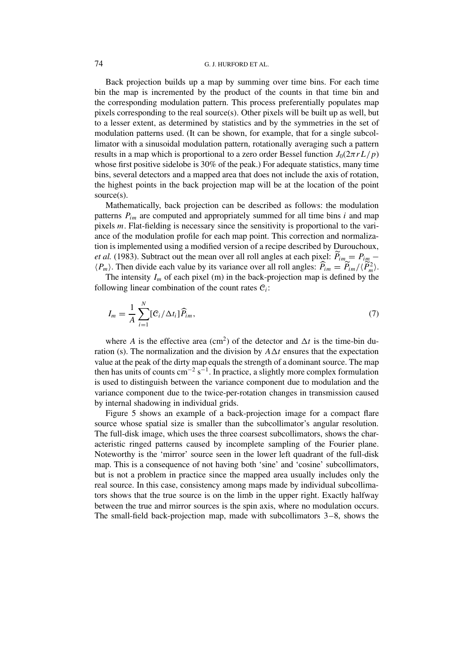Back projection builds up a map by summing over time bins. For each time bin the map is incremented by the product of the counts in that time bin and the corresponding modulation pattern. This process preferentially populates map pixels corresponding to the real source(s). Other pixels will be built up as well, but to a lesser extent, as determined by statistics and by the symmetries in the set of modulation patterns used. (It can be shown, for example, that for a single subcollimator with a sinusoidal modulation pattern, rotationally averaging such a pattern results in a map which is proportional to a zero order Bessel function  $J_0(2\pi rL/p)$ whose first positive sidelobe is 30% of the peak.) For adequate statistics, many time bins, several detectors and a mapped area that does not include the axis of rotation, the highest points in the back projection map will be at the location of the point source(s).

Mathematically, back projection can be described as follows: the modulation patterns  $P_{im}$  are computed and appropriately summed for all time bins  $i$  and map pixels *m*. Flat-fielding is necessary since the sensitivity is proportional to the variance of the modulation profile for each map point. This correction and normalization is implemented using a modified version of a recipe described by Durouchoux, *et al.* (1983). Subtract out the mean over all roll angles at each pixel:  $\ddot{P}_{im} = P_{im} \langle P_m \rangle$ . Then divide each value by its variance over all roll angles:  $\hat{P}_{im} = \hat{P}_{im}/\langle \hat{P}_m^2 \rangle$ .

The intensity  $I_m$  of each pixel (m) in the back-projection map is defined by the following linear combination of the count rates C*i*:

$$
I_m = \frac{1}{A} \sum_{i=1}^{N} [C_i/\Delta t_i] \widehat{P}_{im},\tag{7}
$$

where *A* is the effective area (cm<sup>2</sup>) of the detector and  $\Delta t$  is the time-bin duration (s). The normalization and the division by  $A\Delta t$  ensures that the expectation value at the peak of the dirty map equals the strength of a dominant source. The map then has units of counts cm<sup>-2</sup> s<sup>-1</sup>. In practice, a slightly more complex formulation is used to distinguish between the variance component due to modulation and the variance component due to the twice-per-rotation changes in transmission caused by internal shadowing in individual grids.

Figure 5 shows an example of a back-projection image for a compact flare source whose spatial size is smaller than the subcollimator's angular resolution. The full-disk image, which uses the three coarsest subcollimators, shows the characteristic ringed patterns caused by incomplete sampling of the Fourier plane. Noteworthy is the 'mirror' source seen in the lower left quadrant of the full-disk map. This is a consequence of not having both 'sine' and 'cosine' subcollimators, but is not a problem in practice since the mapped area usually includes only the real source. In this case, consistency among maps made by individual subcollimators shows that the true source is on the limb in the upper right. Exactly halfway between the true and mirror sources is the spin axis, where no modulation occurs. The small-field back-projection map, made with subcollimators 3–8, shows the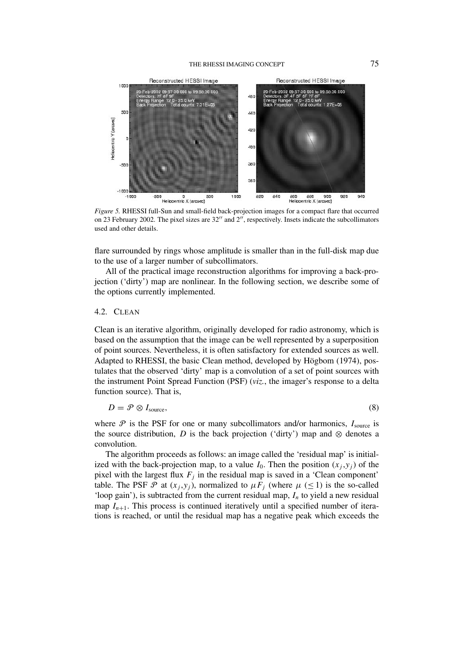### THE RHESSI IMAGING CONCEPT 75



*Figure 5.* RHESSI full-Sun and small-field back-projection images for a compact flare that occurred on 23 February 2002. The pixel sizes are  $32''$  and  $2''$ , respectively. Insets indicate the subcollimators used and other details.

flare surrounded by rings whose amplitude is smaller than in the full-disk map due to the use of a larger number of subcollimators.

All of the practical image reconstruction algorithms for improving a back-projection ('dirty') map are nonlinear. In the following section, we describe some of the options currently implemented.

# 4.2. CLEAN

Clean is an iterative algorithm, originally developed for radio astronomy, which is based on the assumption that the image can be well represented by a superposition of point sources. Nevertheless, it is often satisfactory for extended sources as well. Adapted to RHESSI, the basic Clean method, developed by Högbom (1974), postulates that the observed 'dirty' map is a convolution of a set of point sources with the instrument Point Spread Function (PSF) (*viz.*, the imager's response to a delta function source). That is,

$$
D = \mathcal{P} \otimes I_{\text{source}},\tag{8}
$$

where  $P$  is the PSF for one or many subcollimators and/or harmonics,  $I_{\text{source}}$  is the source distribution, *D* is the back projection ('dirty') map and  $\otimes$  denotes a convolution.

The algorithm proceeds as follows: an image called the 'residual map' is initialized with the back-projection map, to a value  $I_0$ . Then the position  $(x_i, y_i)$  of the pixel with the largest flux  $F_j$  in the residual map is saved in a 'Clean component' table. The PSF  $\mathcal{P}$  at  $(x_i, y_j)$ , normalized to  $\mu F_j$  (where  $\mu$  ( $\leq$  1) is the so-called 'loop gain'), is subtracted from the current residual map,  $I_n$  to yield a new residual map  $I_{n+1}$ . This process is continued iteratively until a specified number of iterations is reached, or until the residual map has a negative peak which exceeds the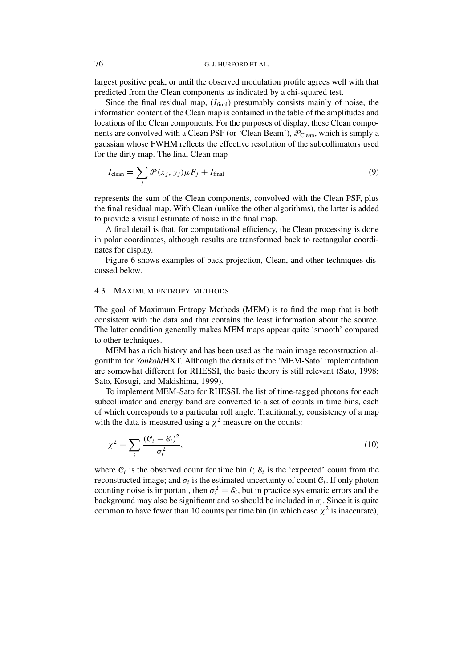largest positive peak, or until the observed modulation profile agrees well with that predicted from the Clean components as indicated by a chi-squared test.

Since the final residual map,  $(I<sub>final</sub>)$  presumably consists mainly of noise, the information content of the Clean map is contained in the table of the amplitudes and locations of the Clean components. For the purposes of display, these Clean components are convolved with a Clean PSF (or 'Clean Beam'),  $\mathcal{P}_{\text{Clean}}$ , which is simply a gaussian whose FWHM reflects the effective resolution of the subcollimators used for the dirty map. The final Clean map

$$
I_{\text{clean}} = \sum_{j} \mathcal{P}(x_j, y_j) \mu F_j + I_{\text{final}} \tag{9}
$$

represents the sum of the Clean components, convolved with the Clean PSF, plus the final residual map. With Clean (unlike the other algorithms), the latter is added to provide a visual estimate of noise in the final map.

A final detail is that, for computational efficiency, the Clean processing is done in polar coordinates, although results are transformed back to rectangular coordinates for display.

Figure 6 shows examples of back projection, Clean, and other techniques discussed below.

### 4.3. MAXIMUM ENTROPY METHODS

The goal of Maximum Entropy Methods (MEM) is to find the map that is both consistent with the data and that contains the least information about the source. The latter condition generally makes MEM maps appear quite 'smooth' compared to other techniques.

MEM has a rich history and has been used as the main image reconstruction algorithm for *Yohkoh*/HXT. Although the details of the 'MEM-Sato' implementation are somewhat different for RHESSI, the basic theory is still relevant (Sato, 1998; Sato, Kosugi, and Makishima, 1999).

To implement MEM-Sato for RHESSI, the list of time-tagged photons for each subcollimator and energy band are converted to a set of counts in time bins, each of which corresponds to a particular roll angle. Traditionally, consistency of a map with the data is measured using a  $\chi^2$  measure on the counts:

$$
\chi^2 = \sum_i \frac{(\mathcal{C}_i - \mathcal{E}_i)^2}{\sigma_i^2},\tag{10}
$$

where  $C_i$  is the observed count for time bin *i*;  $\mathcal{E}_i$  is the 'expected' count from the reconstructed image; and  $\sigma_i$  is the estimated uncertainty of count  $\mathcal{C}_i$ . If only photon counting noise is important, then  $\sigma_i^2 = \varepsilon_i$ , but in practice systematic errors and the background may also be significant and so should be included in  $\sigma_i$ . Since it is quite common to have fewer than 10 counts per time bin (in which case  $\chi^2$  is inaccurate),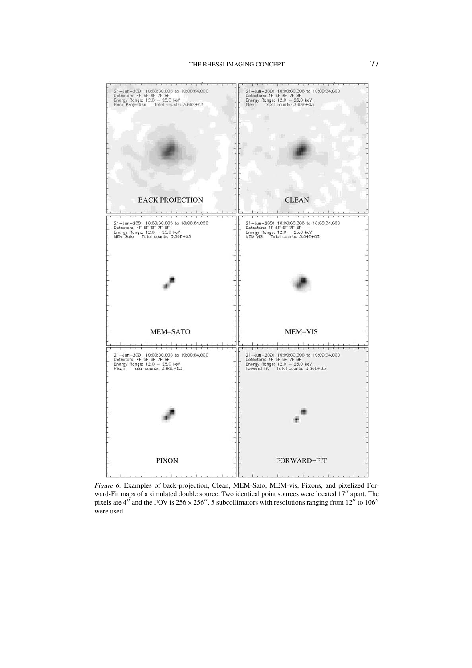# THE RHESSI IMAGING CONCEPT 77



*Figure 6.* Examples of back-projection, Clean, MEM-Sato, MEM-vis, Pixons, and pixelized Forward-Fit maps of a simulated double source. Two identical point sources were located 17" apart. The pixels are 4<sup>th</sup> and the FOV is  $256 \times 256''$ . 5 subcollimators with resolutions ranging from  $12''$  to  $106''$ were used.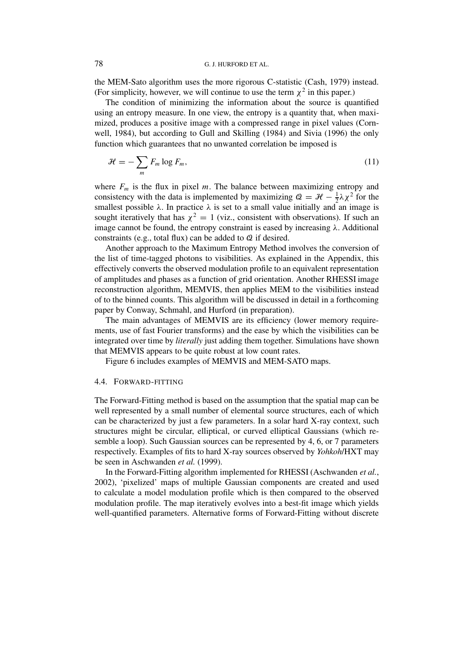the MEM-Sato algorithm uses the more rigorous C-statistic (Cash, 1979) instead. (For simplicity, however, we will continue to use the term  $\chi^2$  in this paper.)

The condition of minimizing the information about the source is quantified using an entropy measure. In one view, the entropy is a quantity that, when maximized, produces a positive image with a compressed range in pixel values (Cornwell, 1984), but according to Gull and Skilling (1984) and Sivia (1996) the only function which guarantees that no unwanted correlation be imposed is

$$
\mathcal{H} = -\sum_{m} F_m \log F_m, \tag{11}
$$

where  $F_m$  is the flux in pixel  $m$ . The balance between maximizing entropy and consistency with the data is implemented by maximizing  $\mathcal{Q} = \mathcal{H} - \frac{1}{2}\lambda \chi^2$  for the smallest possible  $\lambda$ . In practice  $\lambda$  is set to a small value initially and an image is sought iteratively that has  $\chi^2 = 1$  (viz., consistent with observations). If such an image cannot be found, the entropy constraint is eased by increasing *λ*. Additional constraints (e.g., total flux) can be added to  $Q$  if desired.

Another approach to the Maximum Entropy Method involves the conversion of the list of time-tagged photons to visibilities. As explained in the Appendix, this effectively converts the observed modulation profile to an equivalent representation of amplitudes and phases as a function of grid orientation. Another RHESSI image reconstruction algorithm, MEMVIS, then applies MEM to the visibilities instead of to the binned counts. This algorithm will be discussed in detail in a forthcoming paper by Conway, Schmahl, and Hurford (in preparation).

The main advantages of MEMVIS are its efficiency (lower memory requirements, use of fast Fourier transforms) and the ease by which the visibilities can be integrated over time by *literally* just adding them together. Simulations have shown that MEMVIS appears to be quite robust at low count rates.

Figure 6 includes examples of MEMVIS and MEM-SATO maps.

### 4.4. FORWARD-FITTING

The Forward-Fitting method is based on the assumption that the spatial map can be well represented by a small number of elemental source structures, each of which can be characterized by just a few parameters. In a solar hard X-ray context, such structures might be circular, elliptical, or curved elliptical Gaussians (which resemble a loop). Such Gaussian sources can be represented by 4, 6, or 7 parameters respectively. Examples of fits to hard X-ray sources observed by *Yohkoh*/HXT may be seen in Aschwanden *et al.* (1999).

In the Forward-Fitting algorithm implemented for RHESSI (Aschwanden *et al.*, 2002), 'pixelized' maps of multiple Gaussian components are created and used to calculate a model modulation profile which is then compared to the observed modulation profile. The map iteratively evolves into a best-fit image which yields well-quantified parameters. Alternative forms of Forward-Fitting without discrete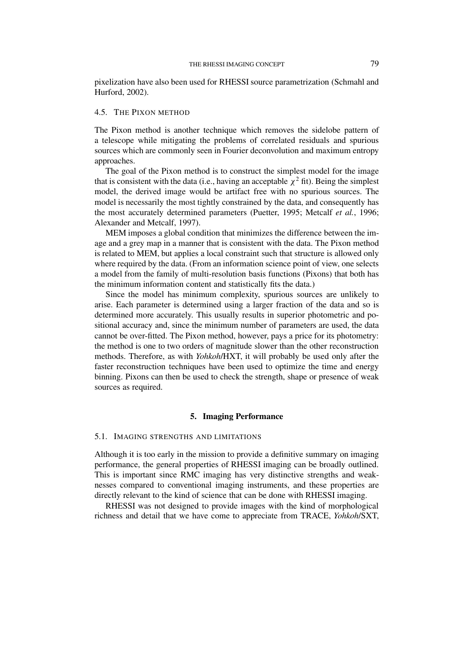pixelization have also been used for RHESSI source parametrization (Schmahl and Hurford, 2002).

# 4.5. THE PIXON METHOD

The Pixon method is another technique which removes the sidelobe pattern of a telescope while mitigating the problems of correlated residuals and spurious sources which are commonly seen in Fourier deconvolution and maximum entropy approaches.

The goal of the Pixon method is to construct the simplest model for the image that is consistent with the data (i.e., having an acceptable  $\chi^2$  fit). Being the simplest model, the derived image would be artifact free with no spurious sources. The model is necessarily the most tightly constrained by the data, and consequently has the most accurately determined parameters (Puetter, 1995; Metcalf *et al.*, 1996; Alexander and Metcalf, 1997).

MEM imposes a global condition that minimizes the difference between the image and a grey map in a manner that is consistent with the data. The Pixon method is related to MEM, but applies a local constraint such that structure is allowed only where required by the data. (From an information science point of view, one selects a model from the family of multi-resolution basis functions (Pixons) that both has the minimum information content and statistically fits the data.)

Since the model has minimum complexity, spurious sources are unlikely to arise. Each parameter is determined using a larger fraction of the data and so is determined more accurately. This usually results in superior photometric and positional accuracy and, since the minimum number of parameters are used, the data cannot be over-fitted. The Pixon method, however, pays a price for its photometry: the method is one to two orders of magnitude slower than the other reconstruction methods. Therefore, as with *Yohkoh*/HXT, it will probably be used only after the faster reconstruction techniques have been used to optimize the time and energy binning. Pixons can then be used to check the strength, shape or presence of weak sources as required.

# **5. Imaging Performance**

#### 5.1. IMAGING STRENGTHS AND LIMITATIONS

Although it is too early in the mission to provide a definitive summary on imaging performance, the general properties of RHESSI imaging can be broadly outlined. This is important since RMC imaging has very distinctive strengths and weaknesses compared to conventional imaging instruments, and these properties are directly relevant to the kind of science that can be done with RHESSI imaging.

RHESSI was not designed to provide images with the kind of morphological richness and detail that we have come to appreciate from TRACE, *Yohkoh*/SXT,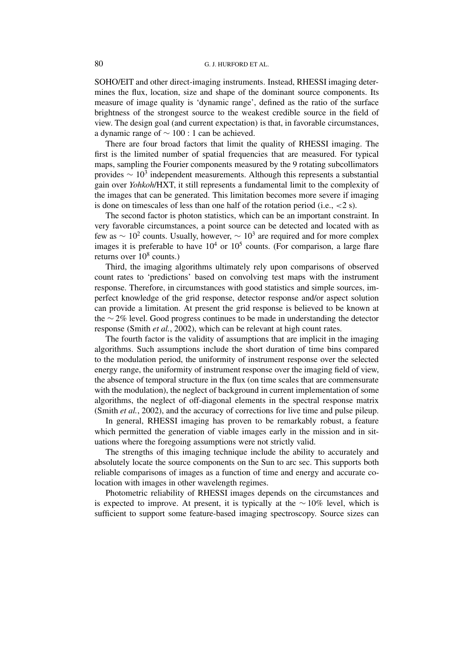SOHO/EIT and other direct-imaging instruments. Instead, RHESSI imaging determines the flux, location, size and shape of the dominant source components. Its measure of image quality is 'dynamic range', defined as the ratio of the surface brightness of the strongest source to the weakest credible source in the field of view. The design goal (and current expectation) is that, in favorable circumstances, a dynamic range of ∼ 100 : 1 can be achieved.

There are four broad factors that limit the quality of RHESSI imaging. The first is the limited number of spatial frequencies that are measured. For typical maps, sampling the Fourier components measured by the 9 rotating subcollimators provides  $\sim 10^3$  independent measurements. Although this represents a substantial gain over *Yohkoh*/HXT, it still represents a fundamental limit to the complexity of the images that can be generated. This limitation becomes more severe if imaging is done on timescales of less than one half of the rotation period (i.e., *<*2 s).

The second factor is photon statistics, which can be an important constraint. In very favorable circumstances, a point source can be detected and located with as few as  $\sim 10^2$  counts. Usually, however,  $\sim 10^3$  are required and for more complex images it is preferable to have  $10^4$  or  $10^5$  counts. (For comparison, a large flare returns over  $10^8$  counts.)

Third, the imaging algorithms ultimately rely upon comparisons of observed count rates to 'predictions' based on convolving test maps with the instrument response. Therefore, in circumstances with good statistics and simple sources, imperfect knowledge of the grid response, detector response and/or aspect solution can provide a limitation. At present the grid response is believed to be known at the ∼ 2% level. Good progress continues to be made in understanding the detector response (Smith *et al.*, 2002), which can be relevant at high count rates.

The fourth factor is the validity of assumptions that are implicit in the imaging algorithms. Such assumptions include the short duration of time bins compared to the modulation period, the uniformity of instrument response over the selected energy range, the uniformity of instrument response over the imaging field of view, the absence of temporal structure in the flux (on time scales that are commensurate with the modulation), the neglect of background in current implementation of some algorithms, the neglect of off-diagonal elements in the spectral response matrix (Smith *et al.*, 2002), and the accuracy of corrections for live time and pulse pileup.

In general, RHESSI imaging has proven to be remarkably robust, a feature which permitted the generation of viable images early in the mission and in situations where the foregoing assumptions were not strictly valid.

The strengths of this imaging technique include the ability to accurately and absolutely locate the source components on the Sun to arc sec. This supports both reliable comparisons of images as a function of time and energy and accurate colocation with images in other wavelength regimes.

Photometric reliability of RHESSI images depends on the circumstances and is expected to improve. At present, it is typically at the  $\sim$  10% level, which is sufficient to support some feature-based imaging spectroscopy. Source sizes can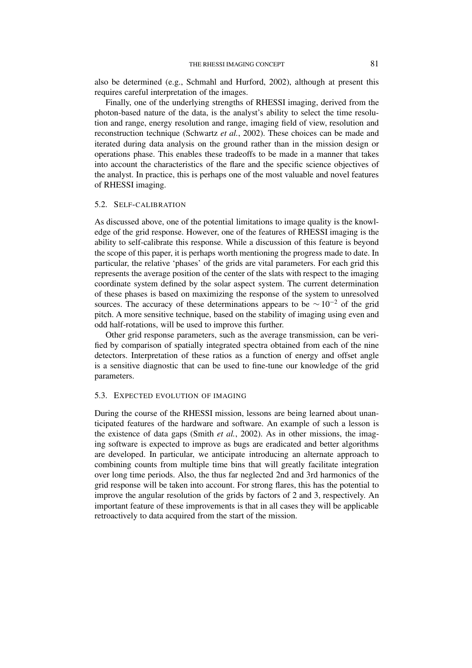also be determined (e.g., Schmahl and Hurford, 2002), although at present this requires careful interpretation of the images.

Finally, one of the underlying strengths of RHESSI imaging, derived from the photon-based nature of the data, is the analyst's ability to select the time resolution and range, energy resolution and range, imaging field of view, resolution and reconstruction technique (Schwartz *et al.*, 2002). These choices can be made and iterated during data analysis on the ground rather than in the mission design or operations phase. This enables these tradeoffs to be made in a manner that takes into account the characteristics of the flare and the specific science objectives of the analyst. In practice, this is perhaps one of the most valuable and novel features of RHESSI imaging.

# 5.2. SELF-CALIBRATION

As discussed above, one of the potential limitations to image quality is the knowledge of the grid response. However, one of the features of RHESSI imaging is the ability to self-calibrate this response. While a discussion of this feature is beyond the scope of this paper, it is perhaps worth mentioning the progress made to date. In particular, the relative 'phases' of the grids are vital parameters. For each grid this represents the average position of the center of the slats with respect to the imaging coordinate system defined by the solar aspect system. The current determination of these phases is based on maximizing the response of the system to unresolved sources. The accuracy of these determinations appears to be  $\sim 10^{-2}$  of the grid pitch. A more sensitive technique, based on the stability of imaging using even and odd half-rotations, will be used to improve this further.

Other grid response parameters, such as the average transmission, can be verified by comparison of spatially integrated spectra obtained from each of the nine detectors. Interpretation of these ratios as a function of energy and offset angle is a sensitive diagnostic that can be used to fine-tune our knowledge of the grid parameters.

## 5.3. EXPECTED EVOLUTION OF IMAGING

During the course of the RHESSI mission, lessons are being learned about unanticipated features of the hardware and software. An example of such a lesson is the existence of data gaps (Smith *et al.*, 2002). As in other missions, the imaging software is expected to improve as bugs are eradicated and better algorithms are developed. In particular, we anticipate introducing an alternate approach to combining counts from multiple time bins that will greatly facilitate integration over long time periods. Also, the thus far neglected 2nd and 3rd harmonics of the grid response will be taken into account. For strong flares, this has the potential to improve the angular resolution of the grids by factors of 2 and 3, respectively. An important feature of these improvements is that in all cases they will be applicable retroactively to data acquired from the start of the mission.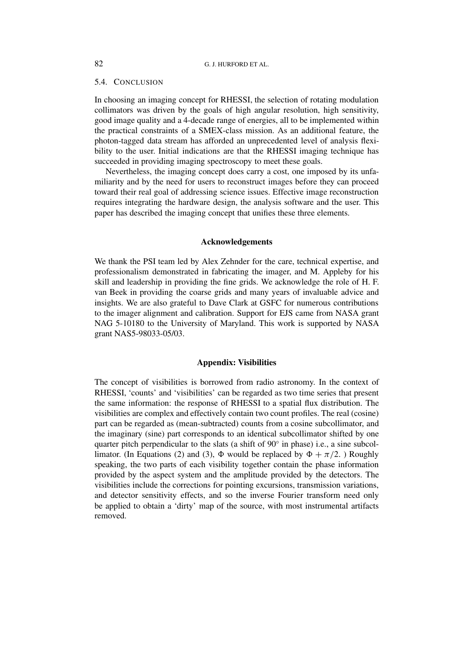## 5.4. CONCLUSION

In choosing an imaging concept for RHESSI, the selection of rotating modulation collimators was driven by the goals of high angular resolution, high sensitivity, good image quality and a 4-decade range of energies, all to be implemented within the practical constraints of a SMEX-class mission. As an additional feature, the photon-tagged data stream has afforded an unprecedented level of analysis flexibility to the user. Initial indications are that the RHESSI imaging technique has succeeded in providing imaging spectroscopy to meet these goals.

Nevertheless, the imaging concept does carry a cost, one imposed by its unfamiliarity and by the need for users to reconstruct images before they can proceed toward their real goal of addressing science issues. Effective image reconstruction requires integrating the hardware design, the analysis software and the user. This paper has described the imaging concept that unifies these three elements.

## **Acknowledgements**

We thank the PSI team led by Alex Zehnder for the care, technical expertise, and professionalism demonstrated in fabricating the imager, and M. Appleby for his skill and leadership in providing the fine grids. We acknowledge the role of H. F. van Beek in providing the coarse grids and many years of invaluable advice and insights. We are also grateful to Dave Clark at GSFC for numerous contributions to the imager alignment and calibration. Support for EJS came from NASA grant NAG 5-10180 to the University of Maryland. This work is supported by NASA grant NAS5-98033-05/03.

# **Appendix: Visibilities**

The concept of visibilities is borrowed from radio astronomy. In the context of RHESSI, 'counts' and 'visibilities' can be regarded as two time series that present the same information: the response of RHESSI to a spatial flux distribution. The visibilities are complex and effectively contain two count profiles. The real (cosine) part can be regarded as (mean-subtracted) counts from a cosine subcollimator, and the imaginary (sine) part corresponds to an identical subcollimator shifted by one quarter pitch perpendicular to the slats (a shift of  $90°$  in phase) i.e., a sine subcollimator. (In Equations (2) and (3),  $\Phi$  would be replaced by  $\Phi + \pi/2$ . ) Roughly speaking, the two parts of each visibility together contain the phase information provided by the aspect system and the amplitude provided by the detectors. The visibilities include the corrections for pointing excursions, transmission variations, and detector sensitivity effects, and so the inverse Fourier transform need only be applied to obtain a 'dirty' map of the source, with most instrumental artifacts removed.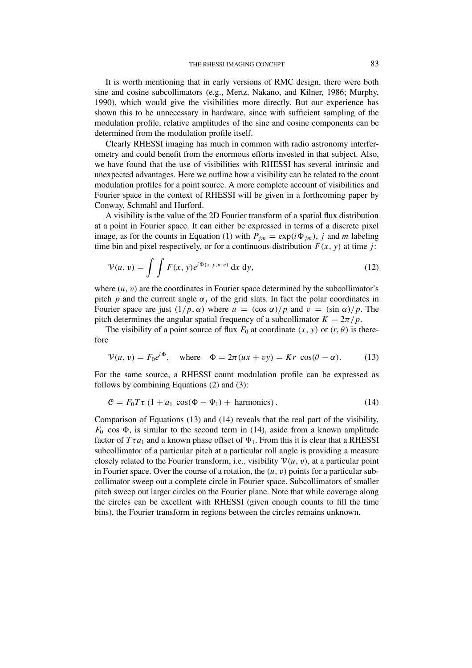It is worth mentioning that in early versions of RMC design, there were both sine and cosine subcollimators (e.g., Mertz, Nakano, and Kilner, 1986; Murphy, 1990), which would give the visibilities more directly. But our experience has shown this to be unnecessary in hardware, since with sufficient sampling of the modulation profile, relative amplitudes of the sine and cosine components can be determined from the modulation profile itself.

Clearly RHESSI imaging has much in common with radio astronomy interferometry and could benefit from the enormous efforts invested in that subject. Also, we have found that the use of visibilities with RHESSI has several intrinsic and unexpected advantages. Here we outline how a visibility can be related to the count modulation profiles for a point source. A more complete account of visibilities and Fourier space in the context of RHESSI will be given in a forthcoming paper by Conway, Schmahl and Hurford.

A visibility is the value of the 2D Fourier transform of a spatial flux distribution at a point in Fourier space. It can either be expressed in terms of a discrete pixel image, as for the counts in Equation (1) with  $P_{jm} = \exp(i\Phi_{jm})$ , *j* and *m* labeling time bin and pixel respectively, or for a continuous distribution  $F(x, y)$  at time *j*:

$$
\mathcal{V}(u,v) = \int \int F(x,y)e^{i\Phi(x,y;u,v)} dx dy,
$$
\n(12)

where  $(u, v)$  are the coordinates in Fourier space determined by the subcollimator's pitch *p* and the current angle  $\alpha_j$  of the grid slats. In fact the polar coordinates in Fourier space are just  $(1/p, \alpha)$  where  $u = (\cos \alpha)/p$  and  $v = (\sin \alpha)/p$ . The pitch determines the angular spatial frequency of a subcollimator  $K = 2\pi/p$ .

The visibility of a point source of flux  $F_0$  at coordinate  $(x, y)$  or  $(r, \theta)$  is therefore

$$
\mathcal{V}(u, v) = F_0 e^{i\Phi}, \quad \text{where} \quad \Phi = 2\pi (ux + vy) = Kr \cos(\theta - \alpha). \tag{13}
$$

For the same source, a RHESSI count modulation profile can be expressed as follows by combining Equations (2) and (3):

$$
\mathcal{C} = F_0 T \tau (1 + a_1 \cos(\Phi - \Psi_1) + \text{harmonics}). \tag{14}
$$

Comparison of Equations (13) and (14) reveals that the real part of the visibility,  $F_0$  cos  $\Phi$ , is similar to the second term in (14), aside from a known amplitude factor of  $T\tau a_1$  and a known phase offset of  $\Psi_1$ . From this it is clear that a RHESSI subcollimator of a particular pitch at a particular roll angle is providing a measure closely related to the Fourier transform, i.e., visibility  $\mathcal{V}(u, v)$ , at a particular point in Fourier space. Over the course of a rotation, the  $(u, v)$  points for a particular subcollimator sweep out a complete circle in Fourier space. Subcollimators of smaller pitch sweep out larger circles on the Fourier plane. Note that while coverage along the circles can be excellent with RHESSI (given enough counts to fill the time bins), the Fourier transform in regions between the circles remains unknown.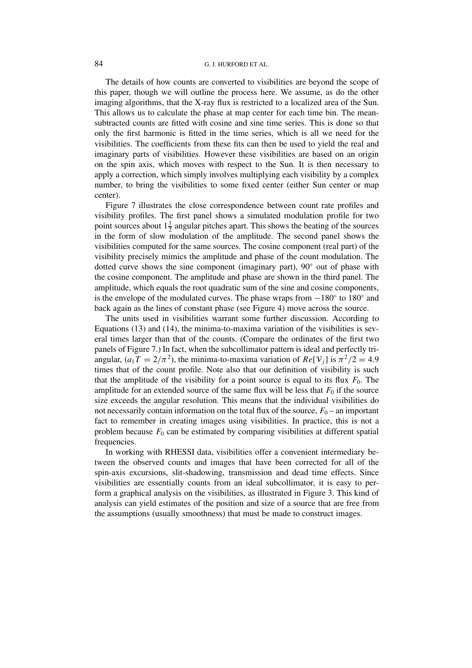The details of how counts are converted to visibilities are beyond the scope of this paper, though we will outline the process here. We assume, as do the other imaging algorithms, that the X-ray flux is restricted to a localized area of the Sun. This allows us to calculate the phase at map center for each time bin. The meansubtracted counts are fitted with cosine and sine time series. This is done so that only the first harmonic is fitted in the time series, which is all we need for the visibilities. The coefficients from these fits can then be used to yield the real and imaginary parts of visibilities. However these visibilities are based on an origin on the spin axis, which moves with respect to the Sun. It is then necessary to apply a correction, which simply involves multiplying each visibility by a complex number, to bring the visibilities to some fixed center (either Sun center or map center).

Figure 7 illustrates the close correspondence between count rate profiles and visibility profiles. The first panel shows a simulated modulation profile for two point sources about  $1\frac{1}{2}$  angular pitches apart. This shows the beating of the sources in the form of slow modulation of the amplitude. The second panel shows the visibilities computed for the same sources. The cosine component (real part) of the visibility precisely mimics the amplitude and phase of the count modulation. The dotted curve shows the sine component (imaginary part),  $90^\circ$  out of phase with the cosine component. The amplitude and phase are shown in the third panel. The amplitude, which equals the root quadratic sum of the sine and cosine components, is the envelope of the modulated curves. The phase wraps from  $-180°$  to  $180°$  and back again as the lines of constant phase (see Figure 4) move across the source.

The units used in visibilities warrant some further discussion. According to Equations (13) and (14), the minima-to-maxima variation of the visibilities is several times larger than that of the counts. (Compare the ordinates of the first two panels of Figure 7.) In fact, when the subcollimator pattern is ideal and perfectly triangular,  $(a_1T = 2/\pi^2)$ , the minima-to-maxima variation of  $Re[\mathcal{V}_i]$  is  $\pi^2/2 = 4.9$ times that of the count profile. Note also that our definition of visibility is such that the amplitude of the visibility for a point source is equal to its flux  $F_0$ . The amplitude for an extended source of the same flux will be less that  $F_0$  if the source size exceeds the angular resolution. This means that the individual visibilities do not necessarily contain information on the total flux of the source,  $F_0$  – an important fact to remember in creating images using visibilities. In practice, this is not a problem because  $F_0$  can be estimated by comparing visibilities at different spatial frequencies.

In working with RHESSI data, visibilities offer a convenient intermediary between the observed counts and images that have been corrected for all of the spin-axis excursions, slit-shadowing, transmission and dead time effects. Since visibilities are essentially counts from an ideal subcollimator, it is easy to perform a graphical analysis on the visibilities, as illustrated in Figure 3. This kind of analysis can yield estimates of the position and size of a source that are free from the assumptions (usually smoothness) that must be made to construct images.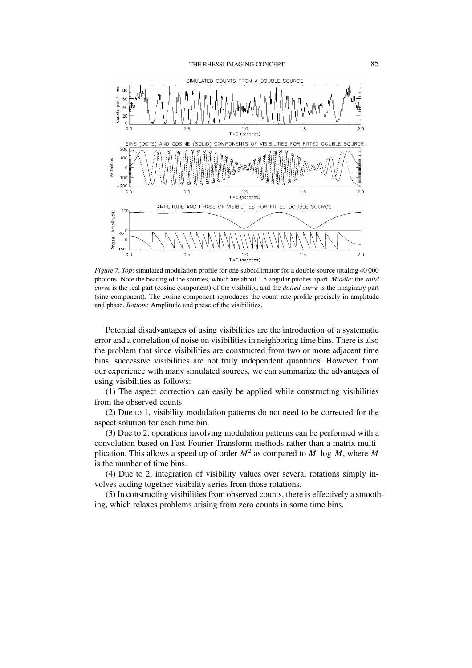

*Figure 7. Top*: simulated modulation profile for one subcollimator for a double source totaling 40 000 photons. Note the beating of the sources, which are about 1.5 angular pitches apart. *Middle*: the *solid curve* is the real part (cosine component) of the visibility, and the *dotted curve* is the imaginary part (sine component). The cosine component reproduces the count rate profile precisely in amplitude and phase. *Bottom*: Amplitude and phase of the visibilities.

Potential disadvantages of using visibilities are the introduction of a systematic error and a correlation of noise on visibilities in neighboring time bins. There is also the problem that since visibilities are constructed from two or more adjacent time bins, successive visibilities are not truly independent quantities. However, from our experience with many simulated sources, we can summarize the advantages of using visibilities as follows:

(1) The aspect correction can easily be applied while constructing visibilities from the observed counts.

(2) Due to 1, visibility modulation patterns do not need to be corrected for the aspect solution for each time bin.

(3) Due to 2, operations involving modulation patterns can be performed with a convolution based on Fast Fourier Transform methods rather than a matrix multiplication. This allows a speed up of order  $M^2$  as compared to M log M, where M is the number of time bins.

(4) Due to 2, integration of visibility values over several rotations simply involves adding together visibility series from those rotations.

(5) In constructing visibilities from observed counts, there is effectively a smoothing, which relaxes problems arising from zero counts in some time bins.